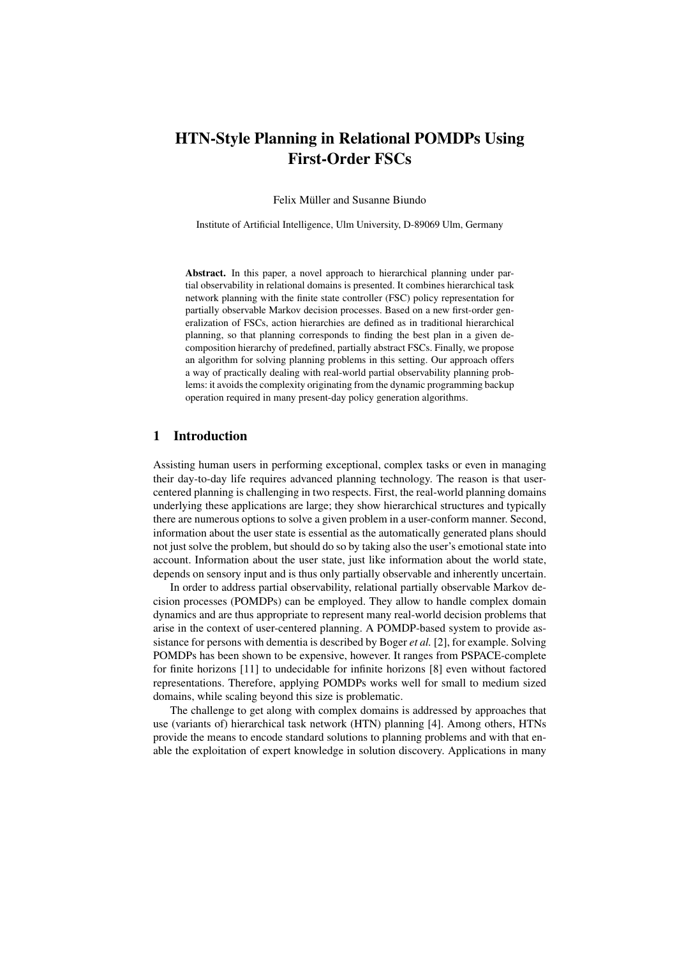# HTN-Style Planning in Relational POMDPs Using First-Order FSCs

Felix Müller and Susanne Biundo

Institute of Artificial Intelligence, Ulm University, D-89069 Ulm, Germany

Abstract. In this paper, a novel approach to hierarchical planning under partial observability in relational domains is presented. It combines hierarchical task network planning with the finite state controller (FSC) policy representation for partially observable Markov decision processes. Based on a new first-order generalization of FSCs, action hierarchies are defined as in traditional hierarchical planning, so that planning corresponds to finding the best plan in a given decomposition hierarchy of predefined, partially abstract FSCs. Finally, we propose an algorithm for solving planning problems in this setting. Our approach offers a way of practically dealing with real-world partial observability planning problems: it avoids the complexity originating from the dynamic programming backup operation required in many present-day policy generation algorithms.

### 1 Introduction

Assisting human users in performing exceptional, complex tasks or even in managing their day-to-day life requires advanced planning technology. The reason is that usercentered planning is challenging in two respects. First, the real-world planning domains underlying these applications are large; they show hierarchical structures and typically there are numerous options to solve a given problem in a user-conform manner. Second, information about the user state is essential as the automatically generated plans should not just solve the problem, but should do so by taking also the user's emotional state into account. Information about the user state, just like information about the world state, depends on sensory input and is thus only partially observable and inherently uncertain.

In order to address partial observability, relational partially observable Markov decision processes (POMDPs) can be employed. They allow to handle complex domain dynamics and are thus appropriate to represent many real-world decision problems that arise in the context of user-centered planning. A POMDP-based system to provide assistance for persons with dementia is described by Boger *et al.* [2], for example. Solving POMDPs has been shown to be expensive, however. It ranges from PSPACE-complete for finite horizons [11] to undecidable for infinite horizons [8] even without factored representations. Therefore, applying POMDPs works well for small to medium sized domains, while scaling beyond this size is problematic.

The challenge to get along with complex domains is addressed by approaches that use (variants of) hierarchical task network (HTN) planning [4]. Among others, HTNs provide the means to encode standard solutions to planning problems and with that enable the exploitation of expert knowledge in solution discovery. Applications in many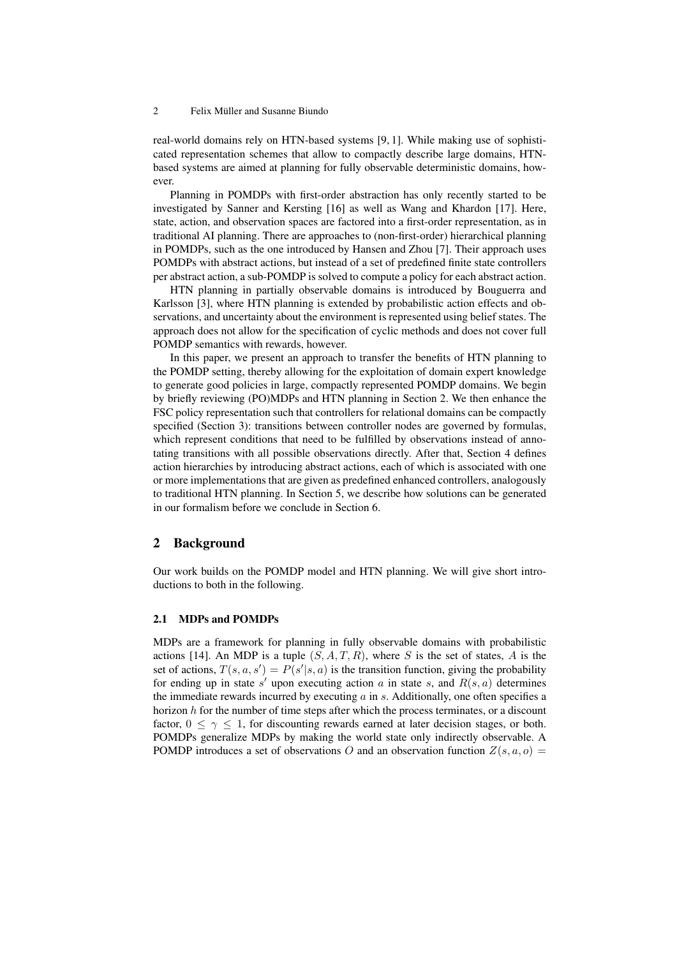real-world domains rely on HTN-based systems [9, 1]. While making use of sophisticated representation schemes that allow to compactly describe large domains, HTNbased systems are aimed at planning for fully observable deterministic domains, however.

Planning in POMDPs with first-order abstraction has only recently started to be investigated by Sanner and Kersting [16] as well as Wang and Khardon [17]. Here, state, action, and observation spaces are factored into a first-order representation, as in traditional AI planning. There are approaches to (non-first-order) hierarchical planning in POMDPs, such as the one introduced by Hansen and Zhou [7]. Their approach uses POMDPs with abstract actions, but instead of a set of predefined finite state controllers per abstract action, a sub-POMDP is solved to compute a policy for each abstract action.

HTN planning in partially observable domains is introduced by Bouguerra and Karlsson [3], where HTN planning is extended by probabilistic action effects and observations, and uncertainty about the environment is represented using belief states. The approach does not allow for the specification of cyclic methods and does not cover full POMDP semantics with rewards, however.

In this paper, we present an approach to transfer the benefits of HTN planning to the POMDP setting, thereby allowing for the exploitation of domain expert knowledge to generate good policies in large, compactly represented POMDP domains. We begin by briefly reviewing (PO)MDPs and HTN planning in Section 2. We then enhance the FSC policy representation such that controllers for relational domains can be compactly specified (Section 3): transitions between controller nodes are governed by formulas, which represent conditions that need to be fulfilled by observations instead of annotating transitions with all possible observations directly. After that, Section 4 defines action hierarchies by introducing abstract actions, each of which is associated with one or more implementations that are given as predefined enhanced controllers, analogously to traditional HTN planning. In Section 5, we describe how solutions can be generated in our formalism before we conclude in Section 6.

### 2 Background

Our work builds on the POMDP model and HTN planning. We will give short introductions to both in the following.

### 2.1 MDPs and POMDPs

MDPs are a framework for planning in fully observable domains with probabilistic actions [14]. An MDP is a tuple  $(S, A, T, R)$ , where S is the set of states, A is the set of actions,  $T(s, a, s') = P(s' | s, a)$  is the transition function, giving the probability for ending up in state  $s'$  upon executing action  $a$  in state  $s$ , and  $R(s, a)$  determines the immediate rewards incurred by executing  $a$  in  $s$ . Additionally, one often specifies a horizon  $h$  for the number of time steps after which the process terminates, or a discount factor,  $0 \le \gamma \le 1$ , for discounting rewards earned at later decision stages, or both. POMDPs generalize MDPs by making the world state only indirectly observable. A POMDP introduces a set of observations O and an observation function  $Z(s, a, o) =$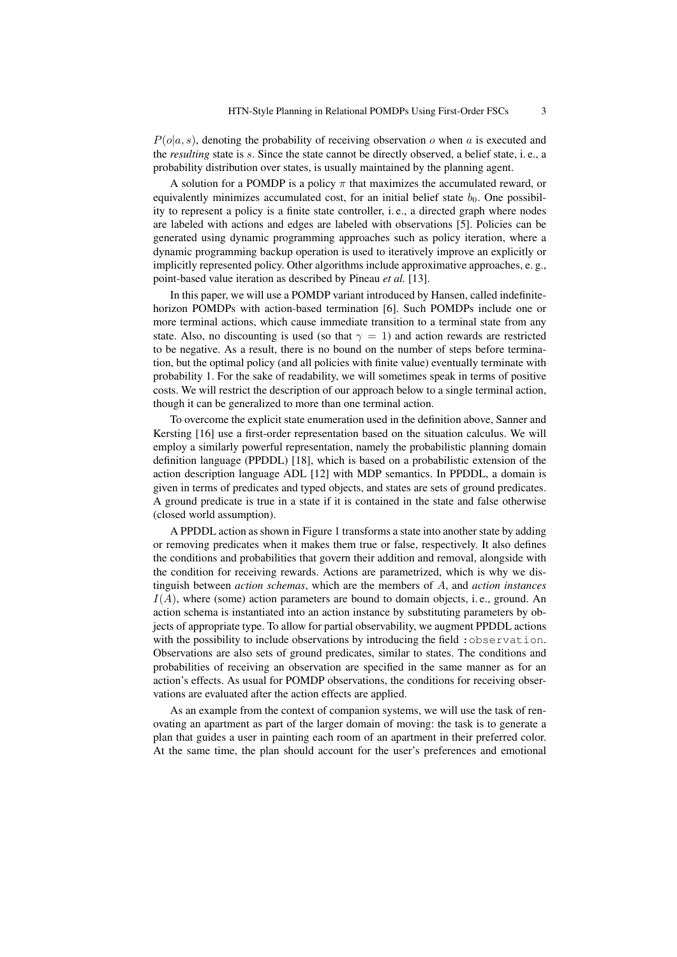$P(o|a, s)$ , denoting the probability of receiving observation o when a is executed and the *resulting* state is s. Since the state cannot be directly observed, a belief state, i. e., a probability distribution over states, is usually maintained by the planning agent.

A solution for a POMDP is a policy  $\pi$  that maximizes the accumulated reward, or equivalently minimizes accumulated cost, for an initial belief state  $b<sub>0</sub>$ . One possibility to represent a policy is a finite state controller, i. e., a directed graph where nodes are labeled with actions and edges are labeled with observations [5]. Policies can be generated using dynamic programming approaches such as policy iteration, where a dynamic programming backup operation is used to iteratively improve an explicitly or implicitly represented policy. Other algorithms include approximative approaches, e. g., point-based value iteration as described by Pineau *et al.* [13].

In this paper, we will use a POMDP variant introduced by Hansen, called indefinitehorizon POMDPs with action-based termination [6]. Such POMDPs include one or more terminal actions, which cause immediate transition to a terminal state from any state. Also, no discounting is used (so that  $\gamma = 1$ ) and action rewards are restricted to be negative. As a result, there is no bound on the number of steps before termination, but the optimal policy (and all policies with finite value) eventually terminate with probability 1. For the sake of readability, we will sometimes speak in terms of positive costs. We will restrict the description of our approach below to a single terminal action, though it can be generalized to more than one terminal action.

To overcome the explicit state enumeration used in the definition above, Sanner and Kersting [16] use a first-order representation based on the situation calculus. We will employ a similarly powerful representation, namely the probabilistic planning domain definition language (PPDDL) [18], which is based on a probabilistic extension of the action description language ADL [12] with MDP semantics. In PPDDL, a domain is given in terms of predicates and typed objects, and states are sets of ground predicates. A ground predicate is true in a state if it is contained in the state and false otherwise (closed world assumption).

A PPDDL action as shown in Figure 1 transforms a state into another state by adding or removing predicates when it makes them true or false, respectively. It also defines the conditions and probabilities that govern their addition and removal, alongside with the condition for receiving rewards. Actions are parametrized, which is why we distinguish between *action schemas*, which are the members of A, and *action instances*  $I(A)$ , where (some) action parameters are bound to domain objects, i.e., ground. An action schema is instantiated into an action instance by substituting parameters by objects of appropriate type. To allow for partial observability, we augment PPDDL actions with the possibility to include observations by introducing the field : observation. Observations are also sets of ground predicates, similar to states. The conditions and probabilities of receiving an observation are specified in the same manner as for an action's effects. As usual for POMDP observations, the conditions for receiving observations are evaluated after the action effects are applied.

As an example from the context of companion systems, we will use the task of renovating an apartment as part of the larger domain of moving: the task is to generate a plan that guides a user in painting each room of an apartment in their preferred color. At the same time, the plan should account for the user's preferences and emotional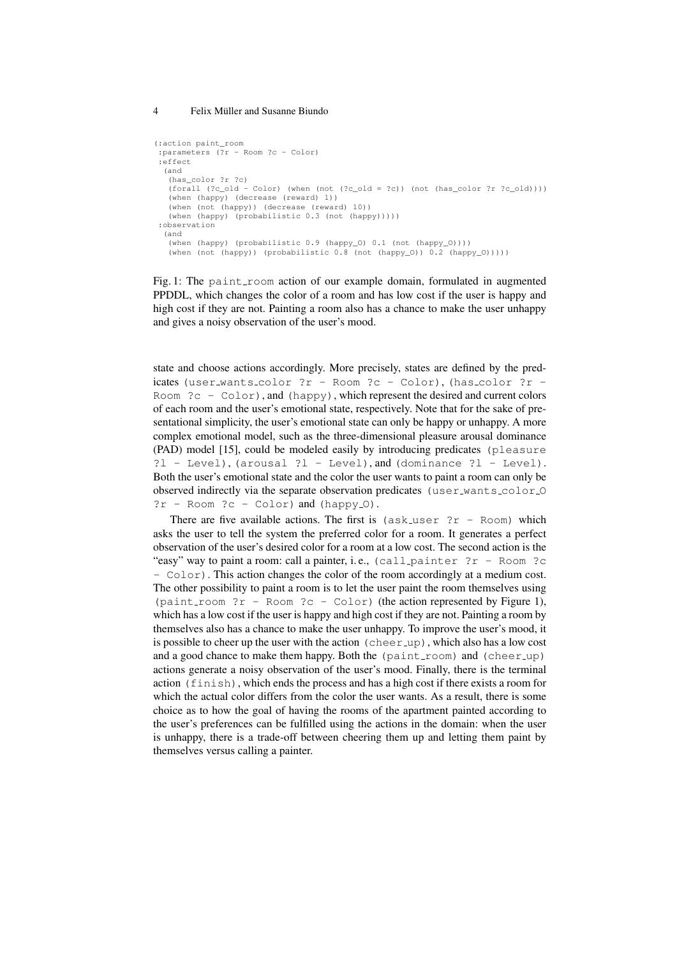```
(:action paint_room
:parameters (?r - Room ?c - Color)
 :effect
  (and
   (has_color ?r ?c)
   (foral1 (?c_old - Color) (when (not (?c_old = ?c)) (not (has_color ?r ?c_old))))(when (happy) (decrease (reward) 1))
   (when (not (happy)) (decrease (reward) 10))
   (when (happy) (probabilistic 0.3 (not (happy)))))
:observation
  (and
   (when (happy) (probabilistic 0.9 (happy_O) 0.1 (not (happy_O))))
   (when (not (happy)) (probabilistic 0.8 (not (happy_O)) 0.2 (happy_O)))))
```
Fig. 1: The paint room action of our example domain, formulated in augmented PPDDL, which changes the color of a room and has low cost if the user is happy and high cost if they are not. Painting a room also has a chance to make the user unhappy and gives a noisy observation of the user's mood.

state and choose actions accordingly. More precisely, states are defined by the predicates (user wants color ?r - Room ?c - Color), (has color ?r - Room  $?c - Color)$ , and (happy), which represent the desired and current colors of each room and the user's emotional state, respectively. Note that for the sake of presentational simplicity, the user's emotional state can only be happy or unhappy. A more complex emotional model, such as the three-dimensional pleasure arousal dominance (PAD) model [15], could be modeled easily by introducing predicates (pleasure ?l - Level), (arousal ?l - Level), and (dominance ?l - Level). Both the user's emotional state and the color the user wants to paint a room can only be observed indirectly via the separate observation predicates (user\_wants\_color\_0  $?r$  - Room  $?c$  - Color) and (happy\_O).

There are five available actions. The first is  $(ask_user ?r - Room)$  which asks the user to tell the system the preferred color for a room. It generates a perfect observation of the user's desired color for a room at a low cost. The second action is the "easy" way to paint a room: call a painter, i.e.,  $(call\_painter ?r - Room ?c$ - Color). This action changes the color of the room accordingly at a medium cost. The other possibility to paint a room is to let the user paint the room themselves using (paint room ?r - Room ?c - Color) (the action represented by Figure 1), which has a low cost if the user is happy and high cost if they are not. Painting a room by themselves also has a chance to make the user unhappy. To improve the user's mood, it is possible to cheer up the user with the action  $(cheer-up)$ , which also has a low cost and a good chance to make them happy. Both the (paint room) and (cheer up) actions generate a noisy observation of the user's mood. Finally, there is the terminal action (finish), which ends the process and has a high cost if there exists a room for which the actual color differs from the color the user wants. As a result, there is some choice as to how the goal of having the rooms of the apartment painted according to the user's preferences can be fulfilled using the actions in the domain: when the user is unhappy, there is a trade-off between cheering them up and letting them paint by themselves versus calling a painter.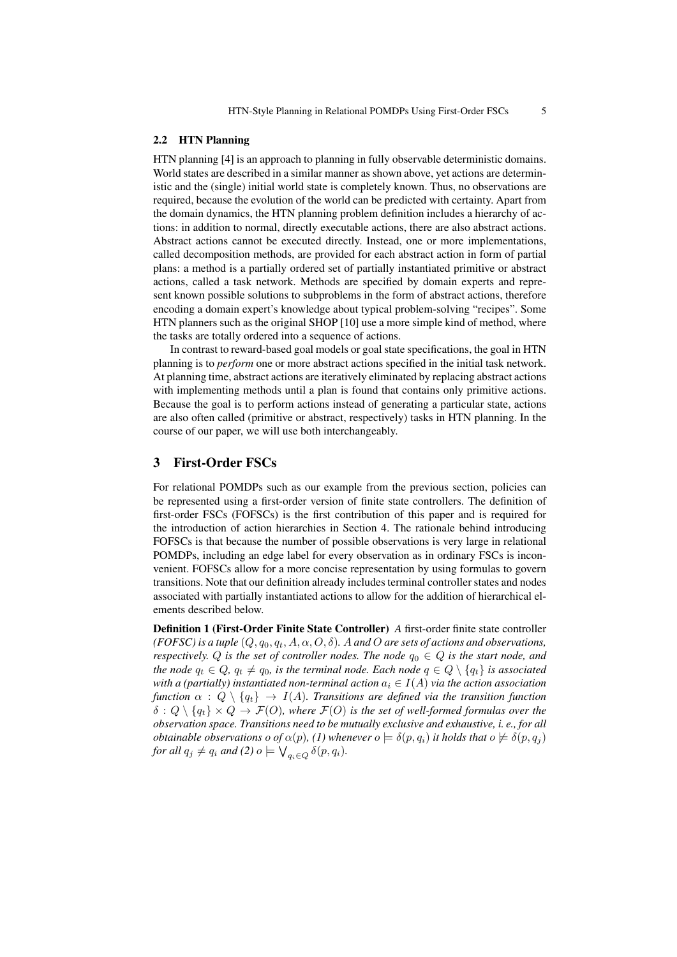#### 2.2 HTN Planning

HTN planning [4] is an approach to planning in fully observable deterministic domains. World states are described in a similar manner as shown above, yet actions are deterministic and the (single) initial world state is completely known. Thus, no observations are required, because the evolution of the world can be predicted with certainty. Apart from the domain dynamics, the HTN planning problem definition includes a hierarchy of actions: in addition to normal, directly executable actions, there are also abstract actions. Abstract actions cannot be executed directly. Instead, one or more implementations, called decomposition methods, are provided for each abstract action in form of partial plans: a method is a partially ordered set of partially instantiated primitive or abstract actions, called a task network. Methods are specified by domain experts and represent known possible solutions to subproblems in the form of abstract actions, therefore encoding a domain expert's knowledge about typical problem-solving "recipes". Some HTN planners such as the original SHOP [10] use a more simple kind of method, where the tasks are totally ordered into a sequence of actions.

In contrast to reward-based goal models or goal state specifications, the goal in HTN planning is to *perform* one or more abstract actions specified in the initial task network. At planning time, abstract actions are iteratively eliminated by replacing abstract actions with implementing methods until a plan is found that contains only primitive actions. Because the goal is to perform actions instead of generating a particular state, actions are also often called (primitive or abstract, respectively) tasks in HTN planning. In the course of our paper, we will use both interchangeably.

## 3 First-Order FSCs

For relational POMDPs such as our example from the previous section, policies can be represented using a first-order version of finite state controllers. The definition of first-order FSCs (FOFSCs) is the first contribution of this paper and is required for the introduction of action hierarchies in Section 4. The rationale behind introducing FOFSCs is that because the number of possible observations is very large in relational POMDPs, including an edge label for every observation as in ordinary FSCs is inconvenient. FOFSCs allow for a more concise representation by using formulas to govern transitions. Note that our definition already includes terminal controller states and nodes associated with partially instantiated actions to allow for the addition of hierarchical elements described below.

Definition 1 (First-Order Finite State Controller) *A* first-order finite state controller  $(FOFSC)$  *is a tuple*  $(Q, q_0, q_t, A, \alpha, O, \delta)$ *. A and O are sets of actions and observations, respectively.* Q *is the set of controller nodes. The node*  $q_0 \in Q$  *is the start node, and the node*  $q_t \in Q$ ,  $q_t \neq q_0$ , is the terminal node. Each node  $q \in Q \setminus \{q_t\}$  is associated *with a (partially) instantiated non-terminal action*  $a_i \in I(A)$  *via the action association function*  $\alpha$  :  $Q \setminus \{q_t\}$   $\rightarrow$   $I(A)$ *. Transitions are defined via the transition function*  $\delta: Q \setminus \{q_t\} \times Q \to \mathcal{F}(O)$ , where  $\mathcal{F}(O)$  is the set of well-formed formulas over the *observation space. Transitions need to be mutually exclusive and exhaustive, i. e., for all obtainable observations*  $o$  *of*  $\alpha(p)$ *, (1) whenever*  $o \models \delta(p, q_i)$  *it holds that*  $o \not\models \delta(p, q_j)$ for all  $q_j \neq q_i$  and (2)  $o \models \bigvee_{q_i \in Q} \delta(p, q_i)$ .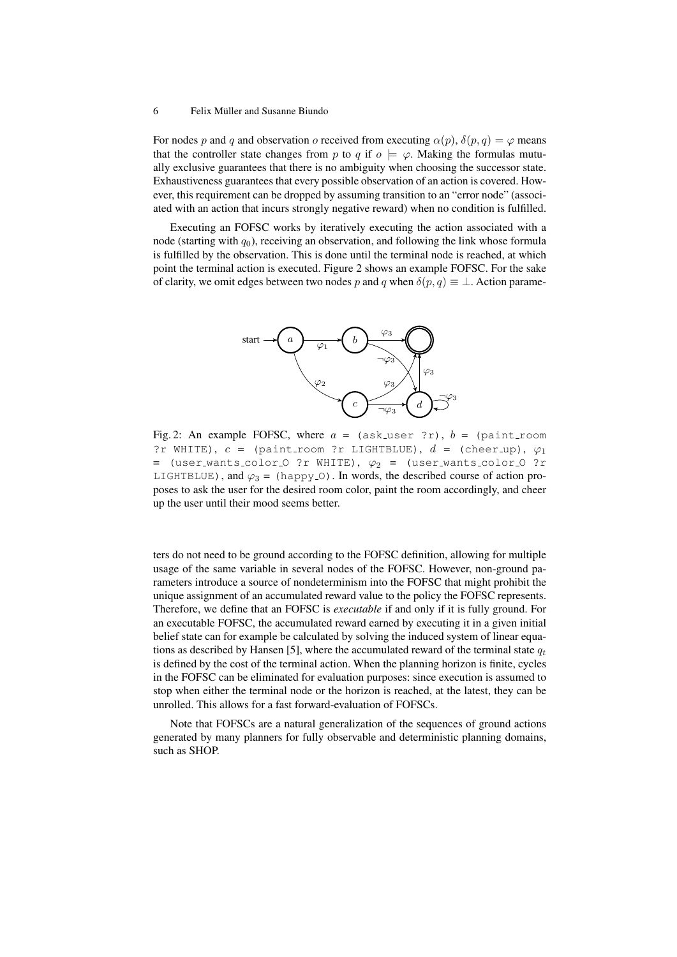For nodes p and q and observation o received from executing  $\alpha(p)$ ,  $\delta(p,q) = \varphi$  means that the controller state changes from p to q if  $o \models \varphi$ . Making the formulas mutually exclusive guarantees that there is no ambiguity when choosing the successor state. Exhaustiveness guarantees that every possible observation of an action is covered. However, this requirement can be dropped by assuming transition to an "error node" (associated with an action that incurs strongly negative reward) when no condition is fulfilled.

Executing an FOFSC works by iteratively executing the action associated with a node (starting with  $q_0$ ), receiving an observation, and following the link whose formula is fulfilled by the observation. This is done until the terminal node is reached, at which point the terminal action is executed. Figure 2 shows an example FOFSC. For the sake of clarity, we omit edges between two nodes p and q when  $\delta(p, q) \equiv \bot$ . Action parame-



Fig. 2: An example FOFSC, where  $a = (ask_user ?r)$ ,  $b = (paint.room$ ?r WHITE),  $c =$  (paint room ?r LIGHTBLUE),  $d =$  (cheer up),  $\varphi_1$ = (user\_wants\_color\_O ?r WHITE),  $\varphi_2$  = (user\_wants\_color\_O ?r LIGHTBLUE), and  $\varphi_3$  = (happy  $\varphi$ ). In words, the described course of action proposes to ask the user for the desired room color, paint the room accordingly, and cheer up the user until their mood seems better.

ters do not need to be ground according to the FOFSC definition, allowing for multiple usage of the same variable in several nodes of the FOFSC. However, non-ground parameters introduce a source of nondeterminism into the FOFSC that might prohibit the unique assignment of an accumulated reward value to the policy the FOFSC represents. Therefore, we define that an FOFSC is *executable* if and only if it is fully ground. For an executable FOFSC, the accumulated reward earned by executing it in a given initial belief state can for example be calculated by solving the induced system of linear equations as described by Hansen [5], where the accumulated reward of the terminal state  $q_t$ is defined by the cost of the terminal action. When the planning horizon is finite, cycles in the FOFSC can be eliminated for evaluation purposes: since execution is assumed to stop when either the terminal node or the horizon is reached, at the latest, they can be unrolled. This allows for a fast forward-evaluation of FOFSCs.

Note that FOFSCs are a natural generalization of the sequences of ground actions generated by many planners for fully observable and deterministic planning domains, such as SHOP.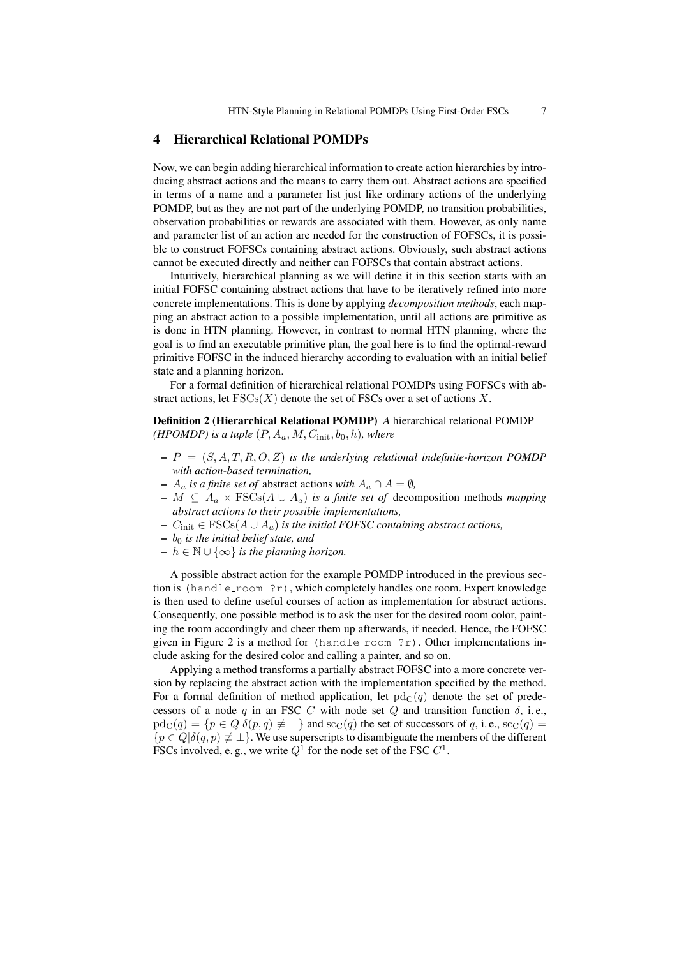### 4 Hierarchical Relational POMDPs

Now, we can begin adding hierarchical information to create action hierarchies by introducing abstract actions and the means to carry them out. Abstract actions are specified in terms of a name and a parameter list just like ordinary actions of the underlying POMDP, but as they are not part of the underlying POMDP, no transition probabilities, observation probabilities or rewards are associated with them. However, as only name and parameter list of an action are needed for the construction of FOFSCs, it is possible to construct FOFSCs containing abstract actions. Obviously, such abstract actions cannot be executed directly and neither can FOFSCs that contain abstract actions.

Intuitively, hierarchical planning as we will define it in this section starts with an initial FOFSC containing abstract actions that have to be iteratively refined into more concrete implementations. This is done by applying *decomposition methods*, each mapping an abstract action to a possible implementation, until all actions are primitive as is done in HTN planning. However, in contrast to normal HTN planning, where the goal is to find an executable primitive plan, the goal here is to find the optimal-reward primitive FOFSC in the induced hierarchy according to evaluation with an initial belief state and a planning horizon.

For a formal definition of hierarchical relational POMDPs using FOFSCs with abstract actions, let  $\text{FSCs}(X)$  denote the set of FSCs over a set of actions X.

Definition 2 (Hierarchical Relational POMDP) *A* hierarchical relational POMDP *(HPOMDP) is a tuple*  $(P, A_a, M, C_{\text{init}}, b_0, h)$ *, where* 

- $-P = (S, A, T, R, O, Z)$  *is the underlying relational indefinite-horizon POMDP with action-based termination,*
- $A_a$  *is a finite set of* abstract actions *with*  $A_a \cap A = ∅$ *,*
- M ⊆ A<sup>a</sup> × FSCs(A ∪ Aa) *is a finite set of* decomposition methods *mapping abstract actions to their possible implementations,*
- Cinit ∈ FSCs(A ∪ Aa) *is the initial FOFSC containing abstract actions,*
- $b_0$  *is the initial belief state, and*
- $h ∈ ℕ ∪ {∞} is the planning horizon.$

A possible abstract action for the example POMDP introduced in the previous section is (handle\_room ?r), which completely handles one room. Expert knowledge is then used to define useful courses of action as implementation for abstract actions. Consequently, one possible method is to ask the user for the desired room color, painting the room accordingly and cheer them up afterwards, if needed. Hence, the FOFSC given in Figure 2 is a method for  $(handle\_room ?r)$ . Other implementations include asking for the desired color and calling a painter, and so on.

Applying a method transforms a partially abstract FOFSC into a more concrete version by replacing the abstract action with the implementation specified by the method. For a formal definition of method application, let  $\text{pd}_{\text{C}}(q)$  denote the set of predecessors of a node q in an FSC C with node set Q and transition function  $\delta$ , i.e.,  $\text{pd}_{\text{C}}(q) = \{p \in Q | \delta(p,q) \not\equiv \bot\}$  and  $\text{sc}_{\text{C}}(q)$  the set of successors of q, i.e.,  $\text{sc}_{\text{C}}(q)$  ${p \in Q | \delta(q, p) \not\equiv \bot}.$  We use superscripts to disambiguate the members of the different FSCs involved, e.g., we write  $Q^1$  for the node set of the FSC  $C^1$ .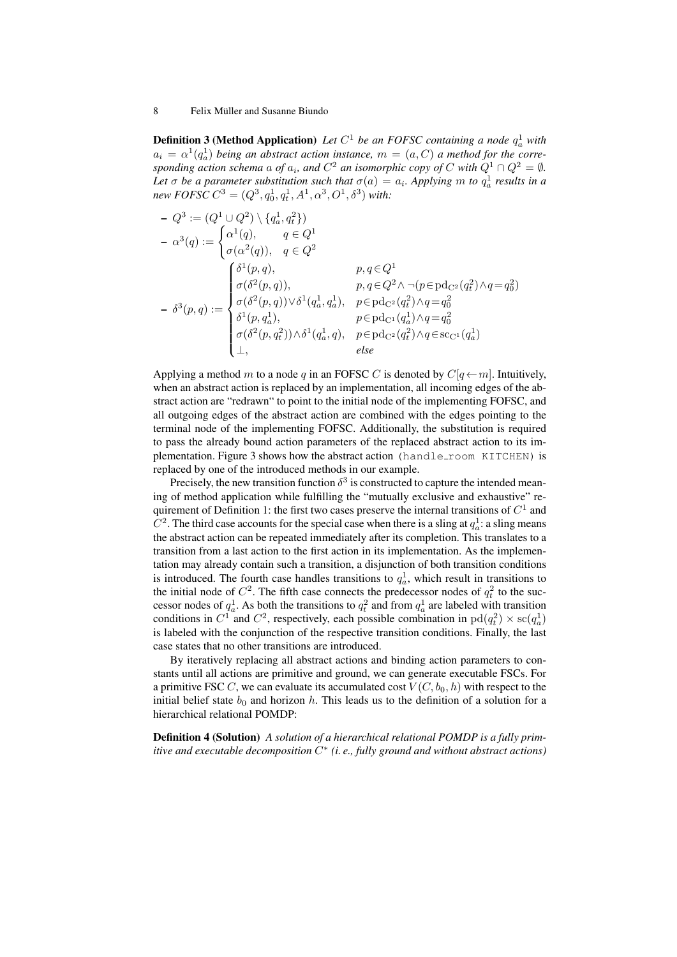**Definition 3 (Method Application)** Let  $C^1$  be an FOFSC containing a node  $q_a^1$  with  $a_i = \alpha^1(q_a^1)$  being an abstract action instance,  $m = (a, C)$  a method for the corresponding action schema  $a$  of  $a_i$ , and  $C^2$  an isomorphic copy of  $C$  with  $Q^1 \cap Q^2 = \emptyset$ . Let  $\sigma$  be a parameter substitution such that  $\sigma(a) = a_i$ . Applying m to  $q_a^1$  results in a *new FOFSC*  $C^3 = (Q^3, q_0^1, q_t^1, A^1, \alpha^3, O^1, \delta^3)$  *with:* 

$$
Q^3 := (Q^1 \cup Q^2) \setminus \{q_a^1, q_t^2\})
$$
  
\n
$$
- \alpha^3(q) := \begin{cases} \alpha^1(q), & q \in Q^1 \\ \sigma(\alpha^2(q)), & q \in Q^2 \end{cases}
$$
  
\n
$$
= \begin{cases} \delta^1(p,q), & p,q \in Q^1 \\ \sigma(\delta^2(p,q)), & p,q \in Q^2 \land \neg(p \in \text{pd}_{C^2}(q_t^2) \land q = q_0^2) \\ \sigma(\delta^2(p,q)) \lor \delta^1(q_a^1, q_a^1), & p \in \text{pd}_{C^2}(q_t^2) \land q = q_0^2 \\ \delta^1(p,q_a^1), & p \in \text{pd}_{C^1}(q_a^1) \land q = q_0^2 \\ \sigma(\delta^2(p,q_t^2)) \land \delta^1(q_a^1,q), & p \in \text{pd}_{C^2}(q_t^2) \land q \in \text{sc}_{C^1}(q_a^1) \\ \perp, & else \end{cases}
$$

Applying a method m to a node q in an FOFSC C is denoted by  $C[q \leftarrow m]$ . Intuitively, when an abstract action is replaced by an implementation, all incoming edges of the abstract action are "redrawn" to point to the initial node of the implementing FOFSC, and all outgoing edges of the abstract action are combined with the edges pointing to the terminal node of the implementing FOFSC. Additionally, the substitution is required to pass the already bound action parameters of the replaced abstract action to its implementation. Figure 3 shows how the abstract action (handle room KITCHEN) is replaced by one of the introduced methods in our example.

Precisely, the new transition function  $\delta^3$  is constructed to capture the intended meaning of method application while fulfilling the "mutually exclusive and exhaustive" requirement of Definition 1: the first two cases preserve the internal transitions of  $C^1$  and  $C^2$ . The third case accounts for the special case when there is a sling at  $q_a^1$ : a sling means the abstract action can be repeated immediately after its completion. This translates to a transition from a last action to the first action in its implementation. As the implementation may already contain such a transition, a disjunction of both transition conditions is introduced. The fourth case handles transitions to  $q_a^1$ , which result in transitions to the initial node of  $C^2$ . The fifth case connects the predecessor nodes of  $q_t^2$  to the successor nodes of  $q_a^1$ . As both the transitions to  $q_t^2$  and from  $q_a^1$  are labeled with transition conditions in  $C^1$  and  $C^2$ , respectively, each possible combination in  $\text{pd}(q_t^2) \times \text{sc}(q_a^1)$ is labeled with the conjunction of the respective transition conditions. Finally, the last case states that no other transitions are introduced.

By iteratively replacing all abstract actions and binding action parameters to constants until all actions are primitive and ground, we can generate executable FSCs. For a primitive FSC C, we can evaluate its accumulated cost  $V(C, b_0, h)$  with respect to the initial belief state  $b_0$  and horizon h. This leads us to the definition of a solution for a hierarchical relational POMDP:

Definition 4 (Solution) *A solution of a hierarchical relational POMDP is a fully primitive and executable decomposition* C ∗ *(i. e., fully ground and without abstract actions)*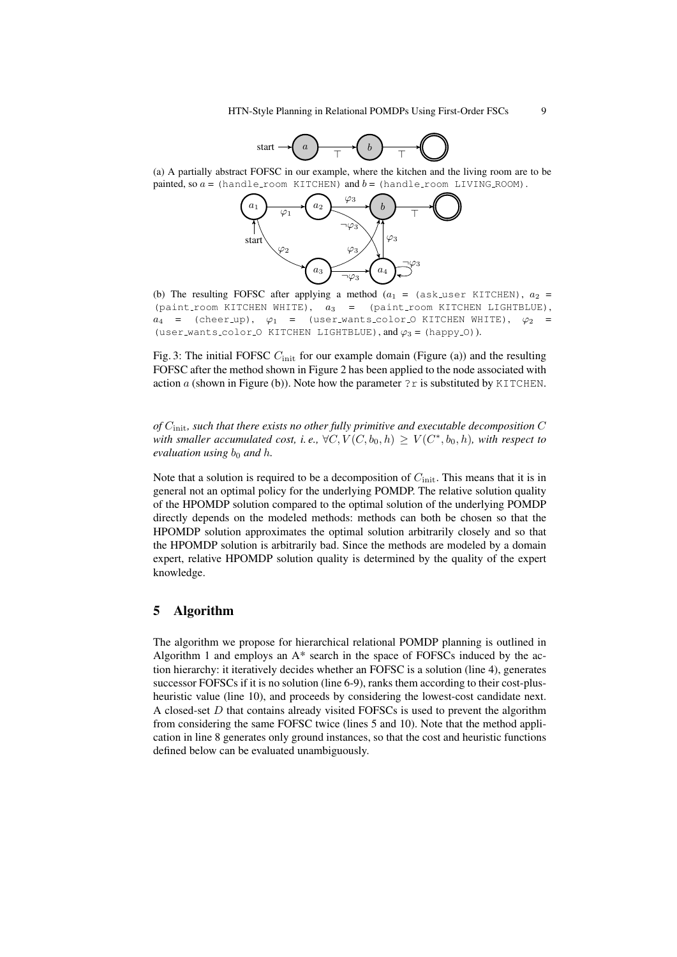

(a) A partially abstract FOFSC in our example, where the kitchen and the living room are to be painted, so  $a =$  (handle\_room KITCHEN) and  $b =$  (handle\_room LIVING\_ROOM).



(b) The resulting FOFSC after applying a method  $(a_1 =$  (ask\_user KITCHEN),  $a_2 =$  (paint\_room KITCHEN LIGHTBLUE), (paint room KITCHEN WHITE),  $a_3 =$  $a_4$  = (cheer\_up),  $\varphi_1$  = (user\_wants\_color\_O KITCHEN WHITE),  $\varphi_2$  = (user\_wants\_color\_O KITCHEN LIGHTBLUE), and  $\varphi_3$  = (happy\_O)).

Fig. 3: The initial FOFSC  $C<sub>init</sub>$  for our example domain (Figure (a)) and the resulting FOFSC after the method shown in Figure 2 has been applied to the node associated with action a (shown in Figure (b)). Note how the parameter  $?r$  is substituted by KITCHEN.

*of* Cinit*, such that there exists no other fully primitive and executable decomposition* C with smaller accumulated cost, i.e.,  $\forall C, V(C, b_0, h) \geq V(C^*, b_0, h)$ , with respect to *evaluation using*  $b_0$  *and*  $h$ .

Note that a solution is required to be a decomposition of  $C_{\text{init}}$ . This means that it is in general not an optimal policy for the underlying POMDP. The relative solution quality of the HPOMDP solution compared to the optimal solution of the underlying POMDP directly depends on the modeled methods: methods can both be chosen so that the HPOMDP solution approximates the optimal solution arbitrarily closely and so that the HPOMDP solution is arbitrarily bad. Since the methods are modeled by a domain expert, relative HPOMDP solution quality is determined by the quality of the expert knowledge.

# 5 Algorithm

The algorithm we propose for hierarchical relational POMDP planning is outlined in Algorithm 1 and employs an  $A^*$  search in the space of FOFSCs induced by the action hierarchy: it iteratively decides whether an FOFSC is a solution (line 4), generates successor FOFSCs if it is no solution (line 6-9), ranks them according to their cost-plusheuristic value (line 10), and proceeds by considering the lowest-cost candidate next. A closed-set  $D$  that contains already visited FOFSCs is used to prevent the algorithm from considering the same FOFSC twice (lines 5 and 10). Note that the method application in line 8 generates only ground instances, so that the cost and heuristic functions defined below can be evaluated unambiguously.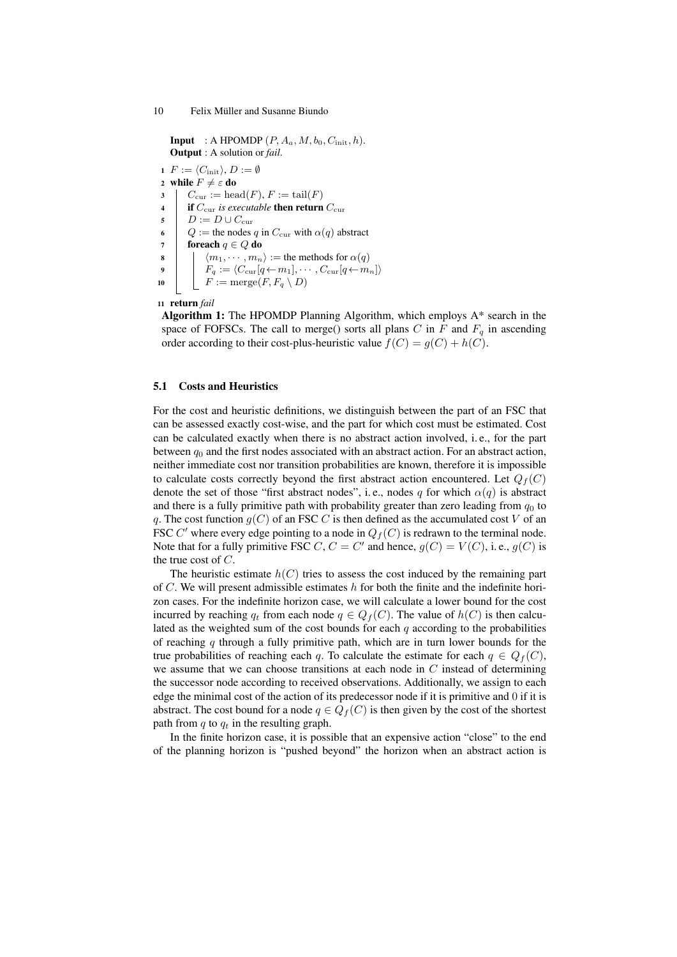**Input** : A HPOMDP  $(P, A_a, M, b_0, C_{\text{init}}, h)$ . Output : A solution or *fail*. 1  $F := \langle C_{\text{init}} \rangle, D := \emptyset$ 2 while  $F \neq \varepsilon$  do

 $3 \mid C_{\text{cur}} := \text{head}(F), F := \text{tail}(F)$ 4 **if**  $C_{\text{cur}}$  *is executable* then return  $C_{\text{cur}}$  $5 \mid D := D \cup C_{\text{cur}}$ 6  $Q :=$  the nodes q in  $C_{\text{cur}}$  with  $\alpha(q)$  abstract 7 foreach  $q \in Q$  do  $\mathbf{s}$   $\vert$   $\vert$   $\langle m_1, \cdots, m_n \rangle$  := the methods for  $\alpha(q)$ 9  $\vert \vert F_q := \langle C_{\text{cur}}[q \leftarrow m_1], \cdots, C_{\text{cur}}[q \leftarrow m_n] \rangle$ 10  $F := \text{merge}(F, F_q \setminus D)$ 

#### <sup>11</sup> return *fail*

Algorithm 1: The HPOMDP Planning Algorithm, which employs A\* search in the space of FOFSCs. The call to merge() sorts all plans C in F and  $F_q$  in ascending order according to their cost-plus-heuristic value  $f(C) = g(C) + h(C)$ .

#### 5.1 Costs and Heuristics

For the cost and heuristic definitions, we distinguish between the part of an FSC that can be assessed exactly cost-wise, and the part for which cost must be estimated. Cost can be calculated exactly when there is no abstract action involved, i. e., for the part between  $q_0$  and the first nodes associated with an abstract action. For an abstract action, neither immediate cost nor transition probabilities are known, therefore it is impossible to calculate costs correctly beyond the first abstract action encountered. Let  $Q_f(C)$ denote the set of those "first abstract nodes", i.e., nodes q for which  $\alpha(q)$  is abstract and there is a fully primitive path with probability greater than zero leading from  $q_0$  to q. The cost function  $g(C)$  of an FSC C is then defined as the accumulated cost V of an FSC  $C'$  where every edge pointing to a node in  $Q_f(C)$  is redrawn to the terminal node. Note that for a fully primitive FSC C,  $C = C'$  and hence,  $g(C) = V(C)$ , i.e.,  $g(C)$  is the true cost of  $C$ .

The heuristic estimate  $h(C)$  tries to assess the cost induced by the remaining part of C. We will present admissible estimates  $h$  for both the finite and the indefinite horizon cases. For the indefinite horizon case, we will calculate a lower bound for the cost incurred by reaching  $q_t$  from each node  $q \in Q_f(C)$ . The value of  $h(C)$  is then calculated as the weighted sum of the cost bounds for each  $q$  according to the probabilities of reaching  $q$  through a fully primitive path, which are in turn lower bounds for the true probabilities of reaching each q. To calculate the estimate for each  $q \in Q_f(C)$ , we assume that we can choose transitions at each node in  $C$  instead of determining the successor node according to received observations. Additionally, we assign to each edge the minimal cost of the action of its predecessor node if it is primitive and 0 if it is abstract. The cost bound for a node  $q \in Q_f(C)$  is then given by the cost of the shortest path from  $q$  to  $q_t$  in the resulting graph.

In the finite horizon case, it is possible that an expensive action "close" to the end of the planning horizon is "pushed beyond" the horizon when an abstract action is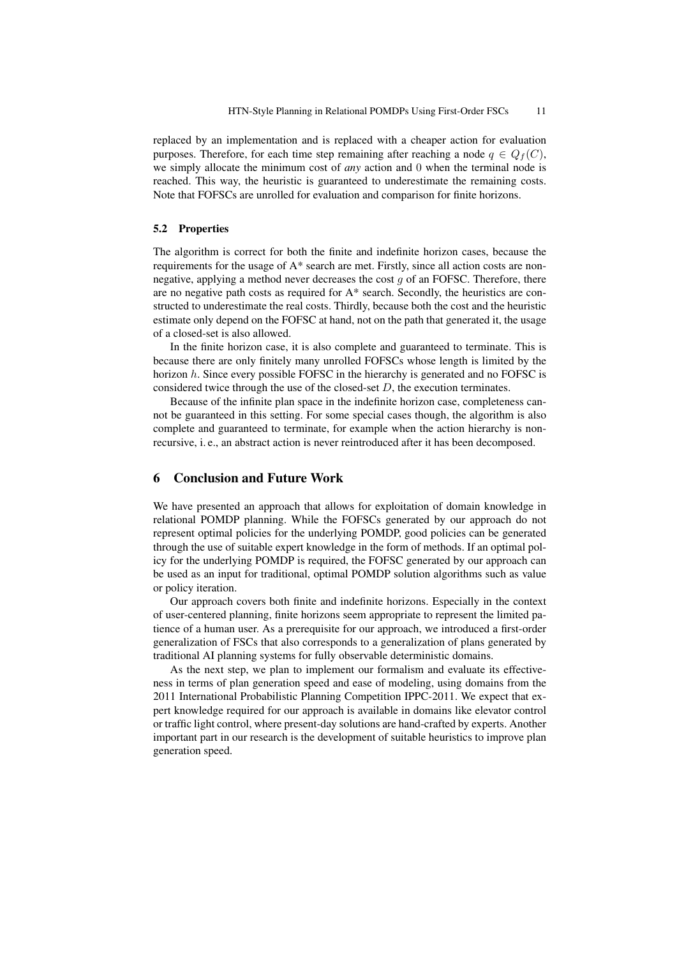replaced by an implementation and is replaced with a cheaper action for evaluation purposes. Therefore, for each time step remaining after reaching a node  $q \in Q_f(C)$ , we simply allocate the minimum cost of *any* action and 0 when the terminal node is reached. This way, the heuristic is guaranteed to underestimate the remaining costs. Note that FOFSCs are unrolled for evaluation and comparison for finite horizons.

#### 5.2 Properties

The algorithm is correct for both the finite and indefinite horizon cases, because the requirements for the usage of A\* search are met. Firstly, since all action costs are nonnegative, applying a method never decreases the cost  $g$  of an FOFSC. Therefore, there are no negative path costs as required for  $A^*$  search. Secondly, the heuristics are constructed to underestimate the real costs. Thirdly, because both the cost and the heuristic estimate only depend on the FOFSC at hand, not on the path that generated it, the usage of a closed-set is also allowed.

In the finite horizon case, it is also complete and guaranteed to terminate. This is because there are only finitely many unrolled FOFSCs whose length is limited by the horizon h. Since every possible FOFSC in the hierarchy is generated and no FOFSC is considered twice through the use of the closed-set  $D$ , the execution terminates.

Because of the infinite plan space in the indefinite horizon case, completeness cannot be guaranteed in this setting. For some special cases though, the algorithm is also complete and guaranteed to terminate, for example when the action hierarchy is nonrecursive, i. e., an abstract action is never reintroduced after it has been decomposed.

# 6 Conclusion and Future Work

We have presented an approach that allows for exploitation of domain knowledge in relational POMDP planning. While the FOFSCs generated by our approach do not represent optimal policies for the underlying POMDP, good policies can be generated through the use of suitable expert knowledge in the form of methods. If an optimal policy for the underlying POMDP is required, the FOFSC generated by our approach can be used as an input for traditional, optimal POMDP solution algorithms such as value or policy iteration.

Our approach covers both finite and indefinite horizons. Especially in the context of user-centered planning, finite horizons seem appropriate to represent the limited patience of a human user. As a prerequisite for our approach, we introduced a first-order generalization of FSCs that also corresponds to a generalization of plans generated by traditional AI planning systems for fully observable deterministic domains.

As the next step, we plan to implement our formalism and evaluate its effectiveness in terms of plan generation speed and ease of modeling, using domains from the 2011 International Probabilistic Planning Competition IPPC-2011. We expect that expert knowledge required for our approach is available in domains like elevator control or traffic light control, where present-day solutions are hand-crafted by experts. Another important part in our research is the development of suitable heuristics to improve plan generation speed.